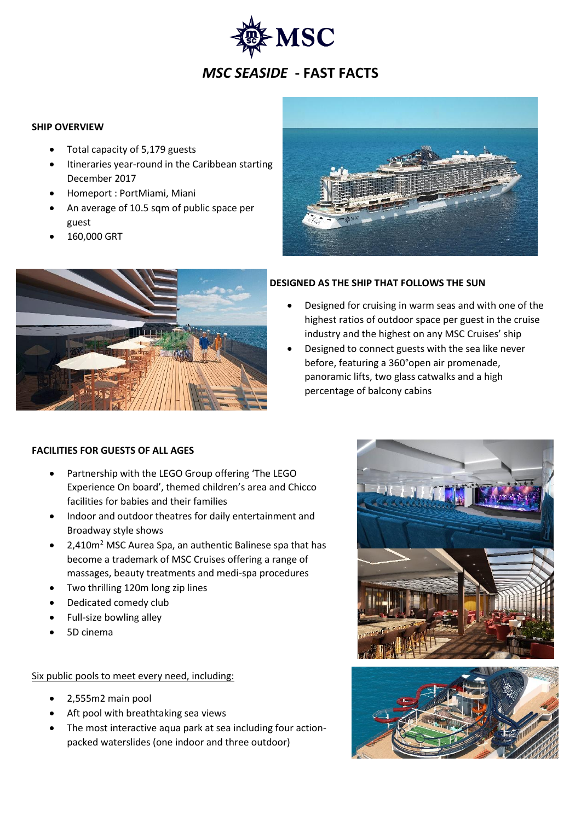

### **SHIP OVERVIEW**

- Total capacity of 5,179 guests
- Itineraries year-round in the Caribbean starting December 2017
- Homeport : PortMiami, Miani
- An average of 10.5 sqm of public space per guest
- 160,000 GRT





#### **DESIGNED AS THE SHIP THAT FOLLOWS THE SUN**

- Designed for cruising in warm seas and with one of the highest ratios of outdoor space per guest in the cruise industry and the highest on any MSC Cruises' ship
- Designed to connect guests with the sea like never before, featuring a 360°open air promenade, panoramic lifts, two glass catwalks and a high percentage of balcony cabins

## **FACILITIES FOR GUESTS OF ALL AGES**

- Partnership with the LEGO Group offering 'The LEGO Experience On board', themed children's area and Chicco facilities for babies and their families
- Indoor and outdoor theatres for daily entertainment and Broadway style shows
- 2,410m<sup>2</sup> MSC Aurea Spa, an authentic Balinese spa that has become a trademark of MSC Cruises offering a range of massages, beauty treatments and medi-spa procedures
- Two thrilling 120m long zip lines
- Dedicated comedy club
- Full-size bowling alley
- 5D cinema

#### Six public pools to meet every need, including:

- 2,555m2 main pool
- Aft pool with breathtaking sea views
- The most interactive aqua park at sea including four actionpacked waterslides (one indoor and three outdoor)